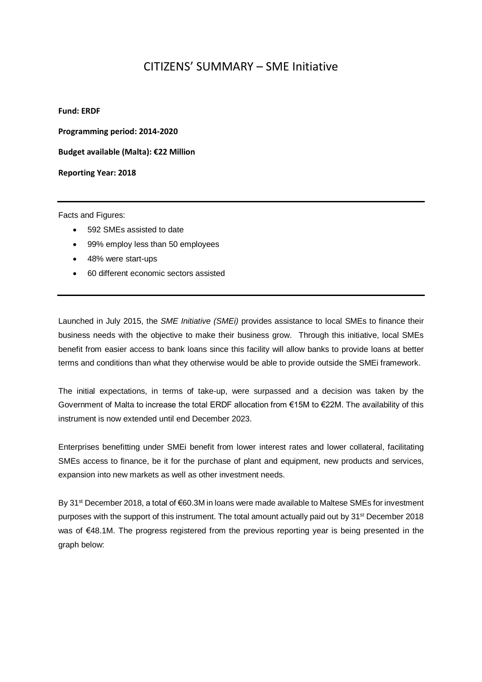## CITIZENS' SUMMARY – SME Initiative

## **Fund: ERDF**

**Programming period: 2014-2020**

**Budget available (Malta): €22 Million** 

**Reporting Year: 2018**

Facts and Figures:

- 592 SMEs assisted to date
- 99% employ less than 50 employees
- 48% were start-ups
- 60 different economic sectors assisted

Launched in July 2015, the *SME Initiative (SMEi)* provides assistance to local SMEs to finance their business needs with the objective to make their business grow. Through this initiative, local SMEs benefit from easier access to bank loans since this facility will allow banks to provide loans at better terms and conditions than what they otherwise would be able to provide outside the SMEi framework.

The initial expectations, in terms of take-up, were surpassed and a decision was taken by the Government of Malta to increase the total ERDF allocation from €15M to €22M. The availability of this instrument is now extended until end December 2023.

Enterprises benefitting under SMEi benefit from lower interest rates and lower collateral, facilitating SMEs access to finance, be it for the purchase of plant and equipment, new products and services, expansion into new markets as well as other investment needs.

By 31<sup>st</sup> December 2018, a total of €60.3M in loans were made available to Maltese SMEs for investment purposes with the support of this instrument. The total amount actually paid out by 31<sup>st</sup> December 2018 was of €48.1M. The progress registered from the previous reporting year is being presented in the graph below: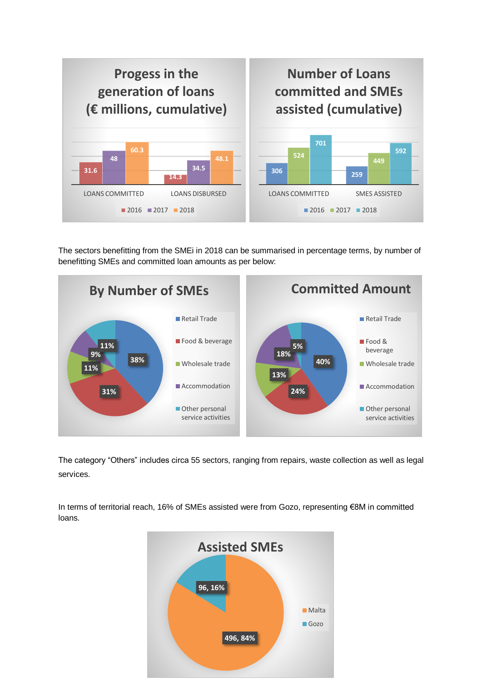

The sectors benefitting from the SMEi in 2018 can be summarised in percentage terms, by number of benefitting SMEs and committed loan amounts as per below:



The category "Others" includes circa 55 sectors, ranging from repairs, waste collection as well as legal services.

In terms of territorial reach, 16% of SMEs assisted were from Gozo, representing €8M in committed loans.